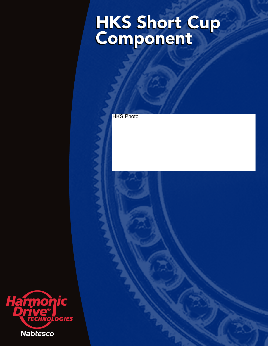## HKS Short Cup Component HKS Short Cup Component

**HKS Photo** 

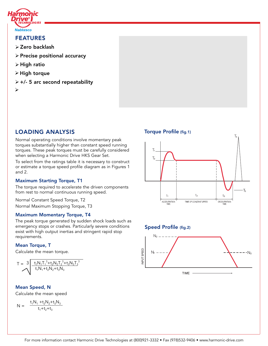

## FEATURES

- Zero backlash
- $\triangleright$  Precise positional accuracy
- $\triangleright$  High ratio
- $\triangleright$  High torque
- $\triangleright$  +/- 5 arc second repeatability
- $\blacktriangleright$

## LOADING ANALYSIS

Normal operating conditions involve momentary peak torques substantially higher than constant speed running torques. These peak torques must be carefully considered when selecting a Harmonic Drive HKS Gear Set.

To select from the ratings table it is necessary to construct or estimate a torque speed profile diagram as in Figures 1 and 2.

## Maximum Starting Torque, T1

The torque required to accelerate the driven components from rest to normal continuous running speed.

Normal Constant Speed Torque, T2

Normal Maximum Stopping Torque, T3

## Maximum Momentary Torque, T4

The peak torque generated by sudden shock loads such as emergency stops or crashes. Particularly severe conditions exist with high output inertias and stringent rapid stop requirements.

## Mean Torque, T

Calculate the mean torque.

$$
T = 3\sqrt{\frac{{t_1}N_1T_1{}^3+{t_2}N_2T_2{}^3+{t_3}N_3T_3{}^3}{t_1N_1+{t_2}N_2+{t_3}N_3}}
$$

## Mean Speed, N

Calculate the mean speed

$$
N = \frac{t_1 N_1 + t_2 N_2 + t_3 N_3}{t_1 + t_2 + t_3}
$$

Torque Profile (fig.1)



## Speed Profile (fig.2)

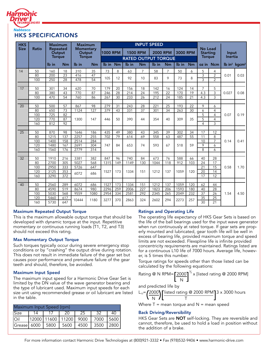

| <b>HKS</b>      |              |                                     | <b>Maximum</b><br><b>Maximum</b> |       |                                             | <b>INPUT SPEED</b> |                            |         |                 |                 |           |          |                 |                                             |                       |                  |                                      |
|-----------------|--------------|-------------------------------------|----------------------------------|-------|---------------------------------------------|--------------------|----------------------------|---------|-----------------|-----------------|-----------|----------|-----------------|---------------------------------------------|-----------------------|------------------|--------------------------------------|
| <b>Size</b>     | <b>Ratio</b> | Repeated<br>Output<br><b>Torque</b> |                                  |       | <b>Momentary</b><br>Output<br><b>Torque</b> |                    | <b>1000 RPM</b>            |         | <b>1500 RPM</b> | <b>2000 RPM</b> |           | 3000 RPM |                 | No Load<br><b>Starting</b><br><b>Torque</b> |                       | Input<br>Inertia |                                      |
|                 |              |                                     |                                  |       |                                             |                    | <b>RATED OUTPUT TORQUE</b> |         |                 |                 |           |          |                 |                                             |                       |                  |                                      |
|                 |              | lb in                               | <b>Nm</b>                        | Ib in | Nm                                          | lb in              | <b>Nm</b>                  | $Ib$ in | <b>Nm</b>       | lb in           | <b>Nm</b> | lb in    | <b>Nm</b>       |                                             | oz in Ncm             |                  | lb in <sup>2</sup> kgcm <sup>2</sup> |
| 14              | 50           | 160                                 | 18                               | 310   | 35                                          | 73                 | 8                          | 63      | 7               | 58              | 7         | 50       | 6               | 5                                           | 4                     |                  |                                      |
|                 | 80           | 200                                 | $\overline{23}$                  | 416   | 47                                          | 105                | 12                         | 92      | 10              | 83              | 9         | 73       | 8               | $\overline{3}$                              | 2                     | 0.01             | 0.03                                 |
|                 | 100          | 250                                 | $\overline{28}$                  | 478   | $\overline{54}$                             |                    |                            |         |                 |                 |           |          |                 | $\overline{3}$                              | $\overline{2}$        |                  |                                      |
|                 |              |                                     |                                  |       |                                             |                    |                            |         |                 |                 |           |          |                 |                                             |                       |                  |                                      |
| 17              | 50           | 301                                 | 34                               | 620   | 70                                          | 179                | 20                         | 156     | 18              | 142             | 16        | 124      | 14              | $\overline{7}$                              | 5                     |                  |                                      |
|                 | 80           | 380                                 | 43                               | 770   | 87                                          | 246                | 28                         | 214     | 24              | 195             | 22        | 170      | 19              | 4.3                                         | 3                     | 0.027            | 0.08                                 |
|                 | 100          | 470                                 | 54                               | 760   | 86                                          | 267                | 30                         | 233     | 26              | 212             | 24        | 185      | 21              | 4.3                                         | 3                     |                  |                                      |
| $\overline{20}$ | 50           | 500                                 | 57                               | 867   | 98                                          | 279                | 31                         | 243     | 28              | 221             | 25        | 193      | $\overline{22}$ | 9                                           | 6                     |                  |                                      |
|                 | 80           | 650                                 | $\overline{73}$                  | 1124  | 127                                         | 379                | 43                         | 331     | 37              | 301             | 34        | 263      | $\overline{30}$ | 6                                           | 4                     |                  |                                      |
|                 | 100          | 725                                 | 82                               |       |                                             |                    |                            |         |                 |                 |           |          |                 | $\overline{5}$                              | $\overline{4}$        | 0.07             | 0.19                                 |
|                 | 120          | 770                                 | 87                               | 1300  | 147                                         | 446                | 50                         | 390     | 44              | 354             | 40        | 309      | 35              | 5                                           | 4                     |                  |                                      |
|                 | 160          | 812                                 | 92                               |       |                                             |                    |                            |         |                 |                 |           |          |                 | $\overline{4}$                              | 3                     |                  |                                      |
|                 |              |                                     |                                  |       |                                             |                    |                            |         |                 |                 |           |          |                 |                                             |                       |                  |                                      |
| $\overline{25}$ | 50           | 870                                 | 98                               | 1646  | 186                                         | 435                | 49                         | 380     | 43              | 345             | 39        | 302      | 34              | 17                                          | 12                    |                  |                                      |
|                 | 80           | 1215                                | 137                              | 2257  | 255                                         | 702                | 79                         | 614     | 69              | 558             | 63        | 487      | 55              | 11                                          | 8                     |                  |                                      |
|                 | 100          | 1400                                | 158                              | 2514  | 284                                         |                    |                            |         |                 |                 |           |          |                 | 10                                          | $\overline{7}$        | 0.14             | 0.41                                 |
|                 | 120          | 1480                                | 167                              | 2691  | 304                                         | 747                | 84                         | 653     | 74              | 593             | 67        | 518      | 59              | 9                                           | 6                     |                  |                                      |
|                 | 160          | 1560                                | 176                              | 2779  | $\overline{314}$                            |                    |                            |         |                 |                 |           |          |                 | $\overline{8}$                              | $\overline{6}$        |                  |                                      |
|                 |              |                                     |                                  |       |                                             |                    |                            |         |                 |                 |           |          |                 |                                             |                       |                  |                                      |
| $\overline{32}$ | 50           | 1910                                | 216                              | 3381  | 382                                         | 847                | 96                         | 740     | 84              | 673             | 76        | 588      | 66              | 40                                          | 28                    |                  |                                      |
|                 | 80           | 2700                                | 305                              | 5027  | 568                                         | 1315               | 149                        | 1149    | 130             | 1044            | 118       | 912      | 103             | 24                                          | 17                    |                  |                                      |
|                 | 100          | 2950                                | 333                              | 5726  | 647                                         |                    |                            |         |                 |                 |           |          |                 | 21                                          | 15                    | 0.58             | 1.70                                 |
|                 | 120          | 3125                                | 353                              | 6072  | 686                                         | 1527               | 173                        | 1334    | 151             | 1212            | 137       | 1059     | 120             | 20                                          | 14                    |                  |                                      |
|                 | 160          | 3290                                | $\overline{372}$                 |       |                                             |                    |                            |         |                 |                 |           |          |                 | $\overline{17}$                             | 12                    |                  |                                      |
|                 |              |                                     |                                  |       |                                             |                    |                            |         |                 |                 |           |          |                 |                                             |                       |                  |                                      |
| 40              | 50           | 2560                                | 289                              | 6072  | 686                                         | 1527               | 173                        | 1334    | 151             | 1212            | 137       | 1059     | 120             | 62                                          | 44                    |                  |                                      |
|                 | 80           | 4590                                | 519                              | 8674  | 980                                         | 2296               | 259                        | 2006    | 227             | 1823            | 206       | 1593     | 180             | 40                                          | 28                    |                  |                                      |
|                 | 100          | 5030<br>5460                        | 568                              | 9559  | 1080                                        | 2954               | 334                        | 2581    | 292             | 2345            | 265       | 2049     | 232             | 37<br>$\overline{35}$                       | 26                    | 1.54             | 4.50                                 |
|                 | 120<br>160   | 5730                                | 617<br>647                       | 10444 | 1180                                        | 3277               | 370                        | 2863    | 324             | 2602            | 294       | 2273     | 257             | 30                                          | 25<br>$\overline{21}$ |                  |                                      |

#### Maximum Repeated Output Torque

This is the maximum allowable output torque that should be developed with dynamic torque at the input. Repetitive momentary or continuous running loads (T1, T2, and T3) should not exceed this rating.

#### Max Momentary Output Torque

Such torques typically occur during severe emergency stop conditions or by "crashing" the output drive during rotation. This does not result in immediate failure of the gear set but causes poor performance and premature failure of the gear teeth and should, therefore, be avoided.

#### Maximum Input Speed

The maximum input speed for a Harmonic Drive Gear Set is limited by the DN value of the wave generator bearing and the type of lubricant used. Maximum input speeds for each size unit using recommended grease or oil lubricant are listed in the table.

| Maximum Input Speed (rpm) |    |      |                              |      |      |      |  |
|---------------------------|----|------|------------------------------|------|------|------|--|
| Size                      | 14 |      | 20                           | 25   | 32   | 40   |  |
| loil                      |    |      | 12000   11600   11200   9000 |      | 7000 | 5600 |  |
| Grease 6000               |    | 5800 | 5600                         | 4500 | 3500 | 2800 |  |

#### Ratings and Operating Life

The operating life expectancy of HKS Gear Sets is based on the life of the ball bearings used for the input wave generator when run continuously at rated torque. If gear sets are properly mounted and lubricated, gear tooth life will be well in excess of bearing life, provided maximum torque and speed limits are not exceeded. Flexspline life is infinite provided concentricity requirements are maintained. Ratings listed are for a continuous L10 life of 7000 hours. Average life, however, is 5 times this number.

Torque ratings for speeds other than those listed can be calculated by the following equations:

Rating @ N RPM=
$$
\left[\frac{2000}{N}\right]^{\frac{1}{3}}
$$
 x [listed rating @ 2000 RPM]

and predicted life by

$$
L_{10} = \left(\frac{2000}{N}\right) \left[\frac{\text{listed rating @ 2000 RPM}}{T}\right]^{3} \times 3000 \text{ hours}
$$

Where  $T =$  mean torque and  $N =$  mean speed

#### Back Driving/Reversibility

HKS Gear Sets are NOT self-locking. They are reversible and cannot, therefore, be used to hold a load in position without the addition of a brake.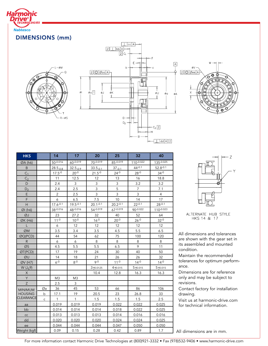

## DIMENSIONS (mm)







| <b>HKS</b>          |    | 14             | 17             | 20            | 25           | 32             | 40             |
|---------------------|----|----------------|----------------|---------------|--------------|----------------|----------------|
| ØA (h6)             |    | $50 - 0.016$   | 60-0.019       | 70-0.019      | 85-0.019     | 110-0.022      | 135-0.025      |
| B                   |    | $28.5_{-0.8}$  | $32.5_{-0.9}$  | $33.5_{-0.1}$ | $37_{-0.1}$  | $44 - 0.1$     | $52.8 - 0.1$   |
| C <sub>1</sub>      |    | $17.5 - 0$     | $20 - 0$       | $21.5 - 0$    | $24 - 0$     | $28 - 0$       | $34 - 0$       |
| C <sub>2</sub>      |    | 11             | 12.5           | 12            | 13           | 16             | 18.8           |
| D                   |    | 2.4            | 3              | 3             | 3            | 3.2            | 3.2            |
| D <sub>2</sub>      |    | 2.4            | 2.5            | 3             | 5            | $\overline{7}$ | 7.1            |
| E                   |    | $\overline{2}$ | 2.5            | 3             | 3            | 3              | $\overline{4}$ |
| F                   |    | 6              | 6.5            | 7.5           | 10           | 14             | 17             |
| H                   |    | $17.6 - 0.1$   | $19.5 - 0.1$   | $20.1 - 0.1$  | $20.2 - 0.1$ | $22 - 0.1$     | $28 - 0.1$     |
| ØI(h6)              |    | 38-0.016       | 48-0.016       | 54-0.019      | 67-0.019     | 90-0.022       | 110-0.023      |
| ØJ                  |    | 23             | 27.2           | 32            | 40           | 52             | 64             |
| ØK (H6)             |    | $11 - 0$       | $10^{-0}$      | $16 - 0$      | $20 - 0$     | $26 - 0$       | $32 - 0$       |
| L                   |    | 6              | 12             | 12            | 12           | 12             | 12             |
| ØM                  |    | 3.5            | 3.4            | 3.5           | 4.5          | 5.5            | 6.5            |
| ØQ(PCD)             |    | 44             | 54             | 62            | 75           | 100            | 120            |
| R                   |    | 6              | 6              | 8             | 8            | 8              | 8              |
| ØS                  |    | 4.5            | 5.5            | 5.5           | 6.5          | 9              | 11             |
| ØT(PCD)             |    | 17             | 19             | 24            | 30           | 40             | 50             |
| ØU                  |    | 14             | 18             | 21            | 26           | 26             | 32             |
| ØV (H7)             |    | $6 - 0$        | $8 - 0$        | $9 - 0$       | $11 - 0$     | $14 - 0$       | $14 - 0$       |
| W(J <sub>5</sub> 9) |    |                |                | $3 + 0.0125$  | 4+0.015      | $5 + 0.015$    | $5 + 0.015$    |
| X                   |    |                |                | 10.4          | 12.8         | 16.3           | 16.3           |
| Y                   |    | M <sub>3</sub> | M <sub>3</sub> |               |              |                |                |
| Z                   |    | 2.5            | 3              |               |              |                |                |
| <b>MINIMUM</b>      | Øa | 36             | 45             | 53            | 66           | 86             | 106            |
| <b>HOUSING</b>      | b  | 17.1           | 19             | 20.5          | 23           | 26.8           | 33             |
| <b>CLEARANCE</b>    | C  | $\mathbf{1}$   | $\mathbf{1}$   | 1.5           | 1.5          | 1.5            | 2.5            |
| aa                  |    | 0.019          | 0.019          | 0.019         | 0.022        | 0.022          | 0.025          |
| bb                  |    | 0.014          | 0.014          | 0.014         | 0.018        | 0.022          | 0.025          |
| cc                  |    | 0.013          | 0.013          | 0.013         | 0.014        | 0.016          | 0.016          |
| dd                  |    | 0.020          | 0.020          | 0.020         | 0.024        | 0.024          | 0.025          |
| ee                  |    | 0.044          | 0.044          | 0.044         | 0.047        | 0.050          | 0.050          |
| Weight (kgf)        |    | 0.09           | 0.15           | 0.28          | 0.42         | 0.89           | 1.7            |



ALTERNATE HUB STYLE HKS 14 & 17

All dimensions and tolerances are shown with the gear set in its assembled and mounted condition.

Maintain the recommended tolerances for optimum performance.

Dimensions are for reference only and may be subject to revisions.

Contact factory for installation drawing.

Visit us at harmonic-drive.com for technical information.

All dimensions are in mm.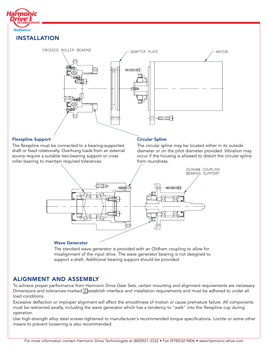

## INSTALLATION



#### Flexspline Support

The flexspline must be connected to a bearing-supported shaft or fixed rotationally. Overhung loads from an external source require a suitable two-bearing support or cross roller bearing to maintain required tolerances.

#### Circular Spline

The circular spline may be located either in its outside diameter or on the pilot diameter provided. Vibration may occur if the housing is allowed to distort the circular spline from roundness.



#### Wave Generator

The standard wave generator is provided with an Oldham coupling to allow for misalignment of the input drive. The wave generator bearing is not designed to support a shaft. Additional bearing support should be provided.

## **ALIGNMENT AND ASSEMBLY**

To achieve proper performance from Harmonic Drive Gear Sets, certain mounting and alignment requirements are necessary. Dimensions and tolerances marked  $\sqrt{2}$  establish interface and installation requirements and must be adhered to under all load conditions.

Excessive deflection or improper alignment will affect the smoothness of motion or cause premature failure. All components must be restrained axially, including the wave generator which has a tendency to "walk" into the flexspline cup during operation.

Use high-strength alloy steel screws tightened to manufacturer's recommended torque specifications. Loctite or some other means to prevent loosening is also recommended.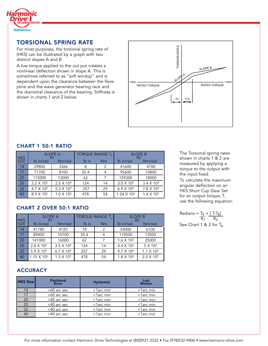

## TORSIONAL TORSIONAL SPRING RATE

For most purposes, the torsional spring rate of (HKS) can be illustrated by a graph with two distinct slopes A and B

A low torque applied to the out put creates a nonlinear deflection shown in slope A. This is sometimes referred to as "soft windup" and is dependent upon the clearance between the flexspline and the wave generator bearing race and the diametral clearance of the bearing. Stiffness is shown in charts 1 and 2 below.



## CHART 1 50:1 RATIO

|             |                       | <b>SLOPE A</b><br>R1  | <b>TORQUE RANGE T.</b> |    | <b>SLOPE B</b><br>R <sub>2</sub> |                       |  |
|-------------|-----------------------|-----------------------|------------------------|----|----------------------------------|-----------------------|--|
| HKS<br>SIZE | lb in/rad             | Nm/rad                | lb in                  | Nm | lb in/rad                        | Nm/rad                |  |
| 14          | 29800                 | 3366                  | 8                      | 2  | 41600                            | 4700                  |  |
| 17          | 71700                 | 8100                  | 35.4                   | 4  | 95600                            | 10800                 |  |
| 20          | 115000                | 13000                 | 62                     |    | 159300                           | 18000                 |  |
| 25          | 2.2 X 10 <sup>5</sup> | 2.5 X 10 <sup>4</sup> | 124                    | 14 | $3.0 \times 10^{5}$              | 3.4 X 10 <sup>4</sup> |  |
| 32          | 4.7 X 10 <sup>5</sup> | 5.3 X 104             | 257                    | 29 | $6.9 \times 10^{5}$              | 7.8 X 104             |  |
| 40          | 8.9 X 10 <sup>5</sup> | $1.0 \times 10^5$     | 478                    | 54 | $1.24 \times 10^{6}$             | 1.4 X 10 <sup>5</sup> |  |

## **CHART 2 OVER 50:1 RATIO**

|             | <b>SLOPE A</b>         |                       |       | TORQUE RANGE T <sub>S</sub> | <b>SLOPE B</b><br>R2  |                       |  |
|-------------|------------------------|-----------------------|-------|-----------------------------|-----------------------|-----------------------|--|
| HKS<br>SIZE | lb in/rad              | Nm/rad                | lb in | Nm                          | lb in/rad             | Nm/rad                |  |
| 14          | 41780                  | 4720                  | 18    | 2                           | 54000                 | 6100                  |  |
| 17          | 89400                  | 10100                 | 35.4  | 4                           | 119500                | 13500                 |  |
| 20          | 141000                 | 16000                 | 62    | 7                           | 1.6 X 10 <sup>5</sup> | 25000                 |  |
| 25          | 2.8 X 10 <sup>5</sup>  | 3.5 X 10 <sup>4</sup> | 124   | 14                          | 4.4 X 10 <sup>5</sup> | 5 X 10 <sup>4</sup>   |  |
| 32          | 5.9 X 10 <sup>5</sup>  | $6.7 \times 10^{4}$   | 257   | 29                          | 9.7 X 10 <sup>6</sup> | $1.1 \times 10^{5}$   |  |
| 40          | 1.15 X 10 <sup>6</sup> | $1.3 \times 10^{5}$   | 478   | 54                          | 1.8 X 10 <sup>6</sup> | 2.0 X 10 <sup>5</sup> |  |

## **ACCURACY**

| <b>HKS Size</b> | <b>Positional</b><br>Error | <b>Hysteresis</b> | Lost<br><b>Motion</b> |
|-----------------|----------------------------|-------------------|-----------------------|
| 14              | $<$ 60 arc sec             | $<$ 1arc min      | $<$ 1arc min          |
| 17              | $<$ 60 arc sec             | $<$ 1arc min      | $<$ 1arc min          |
| 20              | <40 arc sec                | $<$ 1arc min      | $<$ 1 arc min         |
| 25              | $<$ 40 arc sec             | $<$ 1 arc min     | $<$ 1 arc min         |
| 32              | $<$ 40 arc sec             | $<$ 1arc min      | $<$ 1 arc min         |
| 40              | $<$ 40 arc sec             | $<$ 1arc min      | $<$ 1arc min          |

The Torsional spring rates shown in charts 1 & 2 are measured by applying a torque to the output with the input fixed.

To calculate the maximum angular deflection on an HKS Short Cup Gear Set for an output torque, T, use the following equation:

 $Radius = T<sub>S</sub> + [T-T<sub>S</sub>]$  $R_1$   $R_2$ See Chart 1 & 2 for T<sub>s</sub>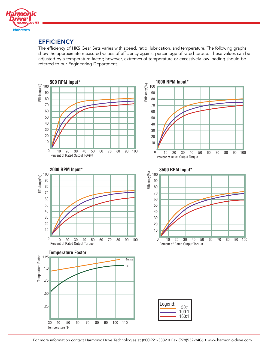

## **EFFICIENCY**

The efficiency of HKS Gear Sets varies with speed, ratio, lubrication, and temperature. The following graphs show the approximate measured values of efficiency against percentage of rated torque. These values can be adjusted by a temperature factor; however, extremes of temperature or excessively low loading should be referred to our Engineering Department.



For more information contact Harmonic Drive Technologies at (800)921-3332 • Fax (978)532-9406 • www.harmonic-drive.com